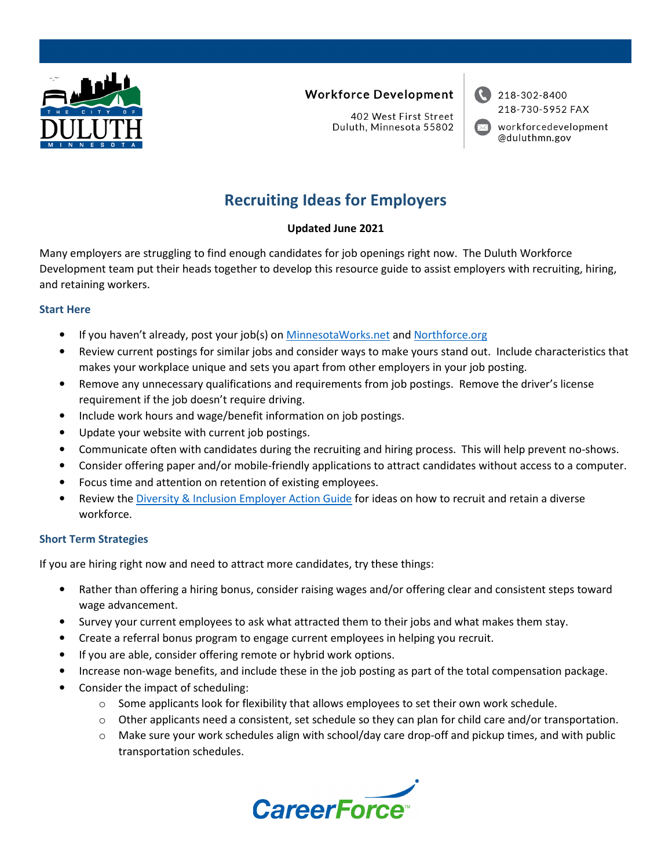

# **Workforce Development**

402 West First Street Duluth, Minnesota 55802

 $\binom{1}{2}$  218-302-8400 218-730-5952 FAX

workforcedevelopment @duluthmn.gov

# Recruiting Ideas for Employers

## Updated June 2021

Many employers are struggling to find enough candidates for job openings right now. The Duluth Workforce Development team put their heads together to develop this resource guide to assist employers with recruiting, hiring, and retaining workers.

#### Start Here

- If you haven't already, post your job(s) on MinnesotaWorks.net and Northforce.org
- Review current postings for similar jobs and consider ways to make yours stand out. Include characteristics that makes your workplace unique and sets you apart from other employers in your job posting.
- Remove any unnecessary qualifications and requirements from job postings. Remove the driver's license requirement if the job doesn't require driving.
- Include work hours and wage/benefit information on job postings.
- Update your website with current job postings.
- Communicate often with candidates during the recruiting and hiring process. This will help prevent no-shows.
- Consider offering paper and/or mobile-friendly applications to attract candidates without access to a computer.
- Focus time and attention on retention of existing employees.
- Review the Diversity & Inclusion Employer Action Guide for ideas on how to recruit and retain a diverse workforce.

#### Short Term Strategies

If you are hiring right now and need to attract more candidates, try these things:

- Rather than offering a hiring bonus, consider raising wages and/or offering clear and consistent steps toward wage advancement.
- Survey your current employees to ask what attracted them to their jobs and what makes them stay.
- Create a referral bonus program to engage current employees in helping you recruit.
- If you are able, consider offering remote or hybrid work options.
- Increase non-wage benefits, and include these in the job posting as part of the total compensation package.
- Consider the impact of scheduling:
	- $\circ$  Some applicants look for flexibility that allows employees to set their own work schedule.
	- $\circ$  Other applicants need a consistent, set schedule so they can plan for child care and/or transportation.
	- $\circ$  Make sure your work schedules align with school/day care drop-off and pickup times, and with public transportation schedules.